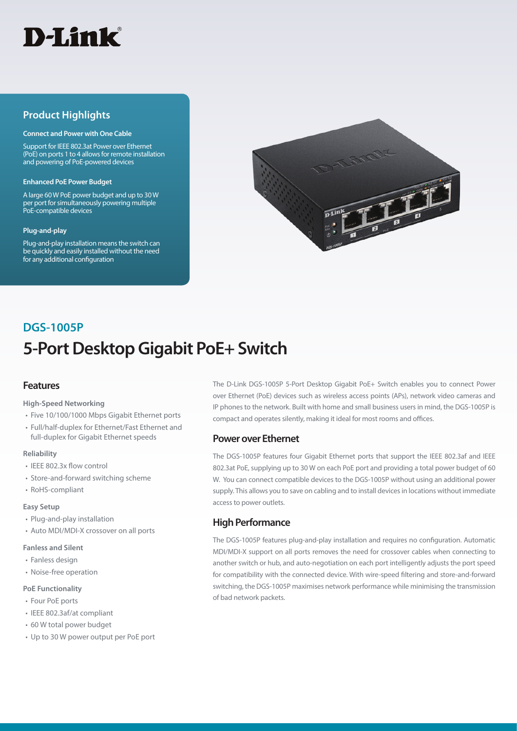

# **Product Highlights**

#### **Connect and Power with One Cable**

Support for IEEE 802.3at Power over Ethernet (PoE) on ports 1 to 4 allows for remote installation and powering of PoE-powered devices

#### **Enhanced PoE Power Budget**

A large 60 W PoE power budget and up to 30 W per port for simultaneously powering multiple PoE-compatible devices

#### **Plug-and-play**

Plug-and-play installation means the switch can be quickly and easily installed without the need for any additional configuration



# **5-Port Desktop Gigabit PoE+ Switch DGS-1005P**

# **Features**

#### **High-Speed Networking**

- Five 10/100/1000 Mbps Gigabit Ethernet ports
- Full/half-duplex for Ethernet/Fast Ethernet and full-duplex for Gigabit Ethernet speeds

#### **Reliability**

- IEEE 802.3x flow control
- Store-and-forward switching scheme
- RoHS-compliant

#### **Easy Setup**

- Plug-and-play installation
- Auto MDI/MDI-X crossover on all ports
- **Fanless and Silent**

#### • Fanless design

• Noise-free operation

#### **PoE Functionality**

- Four PoE ports
- IEEE 802.3af/at compliant
- 60 W total power budget
- Up to 30 W power output per PoE port

The D-Link DGS-1005P 5-Port Desktop Gigabit PoE+ Switch enables you to connect Power over Ethernet (PoE) devices such as wireless access points (APs), network video cameras and IP phones to the network. Built with home and small business users in mind, the DGS-1005P is compact and operates silently, making it ideal for most rooms and offices.

# **Power over Ethernet**

The DGS-1005P features four Gigabit Ethernet ports that support the IEEE 802.3af and IEEE 802.3at PoE, supplying up to 30 W on each PoE port and providing a total power budget of 60 W. You can connect compatible devices to the DGS-1005P without using an additional power supply. This allows you to save on cabling and to install devices in locations without immediate access to power outlets.

# **High Performance**

The DGS-1005P features plug-and-play installation and requires no configuration. Automatic MDI/MDI-X support on all ports removes the need for crossover cables when connecting to another switch or hub, and auto-negotiation on each port intelligently adjusts the port speed for compatibility with the connected device. With wire-speed filtering and store-and-forward switching, the DGS-1005P maximises network performance while minimising the transmission of bad network packets.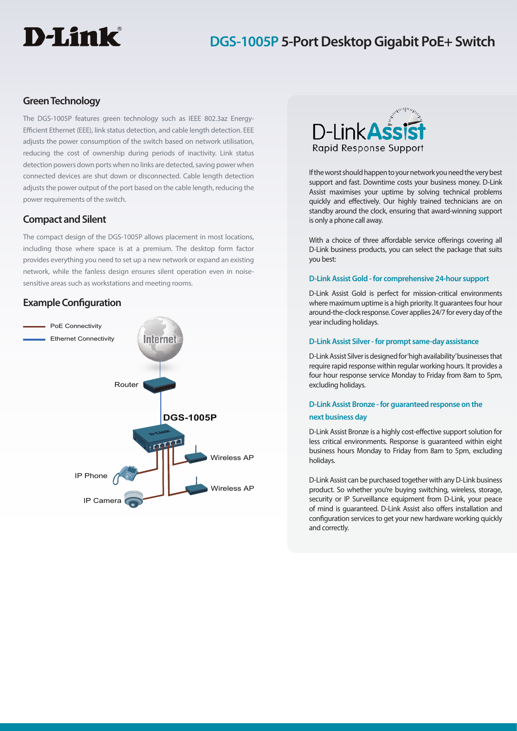# D-Link®

# **DGS-1005P 5-Port Desktop Gigabit PoE+ Switch**

# **Green Technology**

The DGS-1005P features green technology such as IEEE 802.3az Energy-Efficient Ethernet (EEE), link status detection, and cable length detection. EEE adjusts the power consumption of the switch based on network utilisation, reducing the cost of ownership during periods of inactivity. Link status detection powers down ports when no links are detected, saving power when connected devices are shut down or disconnected. Cable length detection adjusts the power output of the port based on the cable length, reducing the power requirements of the switch.

# **Compact and Silent**

The compact design of the DGS-1005P allows placement in most locations, including those where space is at a premium. The desktop form factor provides everything you need to set up a new network or expand an existing network, while the fanless design ensures silent operation even in noisesensitive areas such as workstations and meeting rooms.

# **Example Configuration**





If the worst should happen to your network you need the very best support and fast. Downtime costs your business money. D-Link Assist maximises your uptime by solving technical problems quickly and effectively. Our highly trained technicians are on standby around the clock, ensuring that award-winning support is only a phone call away.

With a choice of three affordable service offerings covering all D-Link business products, you can select the package that suits you best:

## **D-Link Assist Gold - for comprehensive 24-hour support**

D-Link Assist Gold is perfect for mission-critical environments where maximum uptime is a high priority. It guarantees four hour around-the-clock response. Cover applies 24/7 for every day of the year including holidays.

## **D-Link Assist Silver - for prompt same-day assistance**

D-Link Assist Silver is designed for 'high availability' businesses that require rapid response within regular working hours. It provides a four hour response service Monday to Friday from 8am to 5pm, excluding holidays.

# **D-Link Assist Bronze - for guaranteed response on the next business day**

D-Link Assist Bronze is a highly cost-effective support solution for less critical environments. Response is guaranteed within eight business hours Monday to Friday from 8am to 5pm, excluding holidays.

D-Link Assist can be purchased together with any D-Link business product. So whether you're buying switching, wireless, storage, security or IP Surveillance equipment from D-Link, your peace of mind is guaranteed. D-Link Assist also offers installation and configuration services to get your new hardware working quickly and correctly.